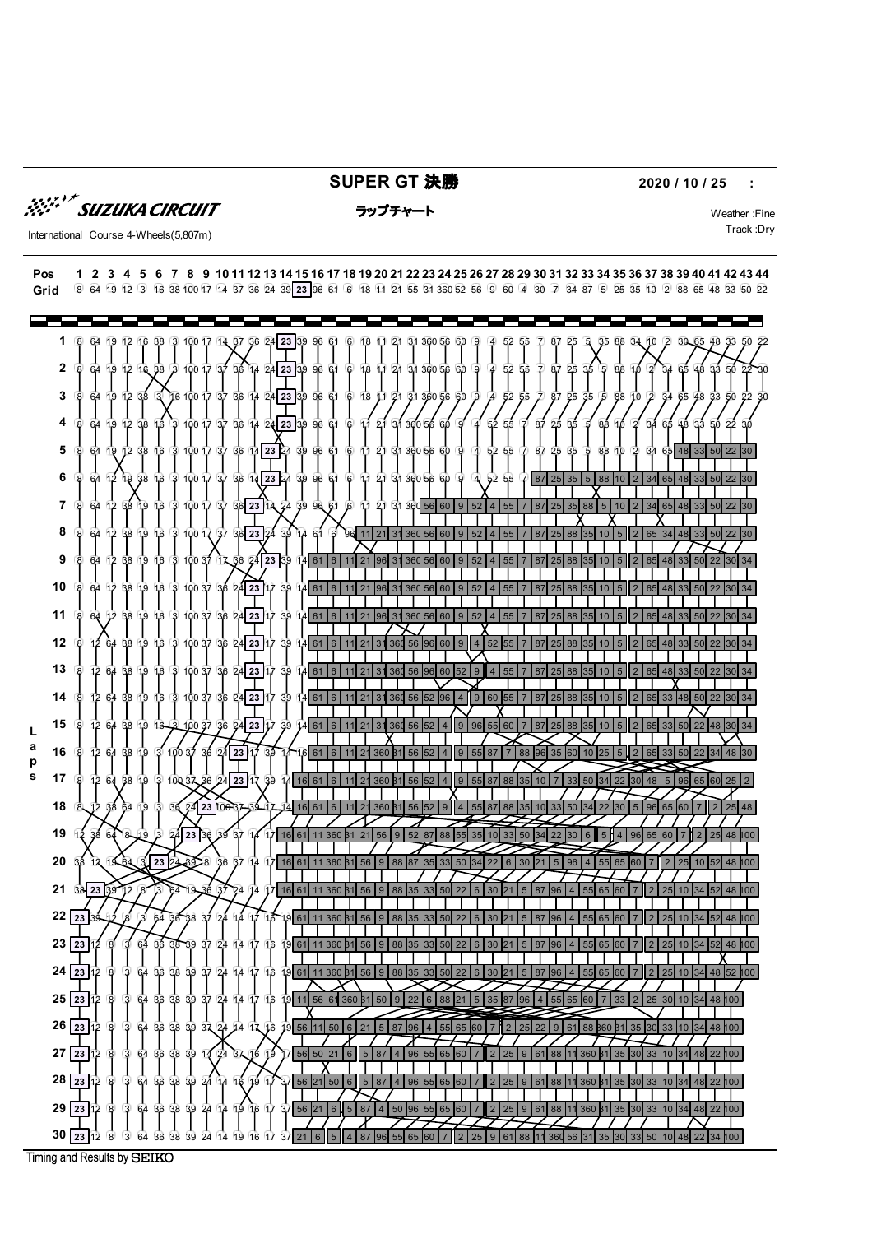**SUPER GT 決勝 2020 / 10 / 25 :** 

**SUZUKA CIRCUIT** 

### ラップチャート Weather :Fine

International Course 4-Wheels(5,807m) Track :Dry



Timing and Results by SEIKO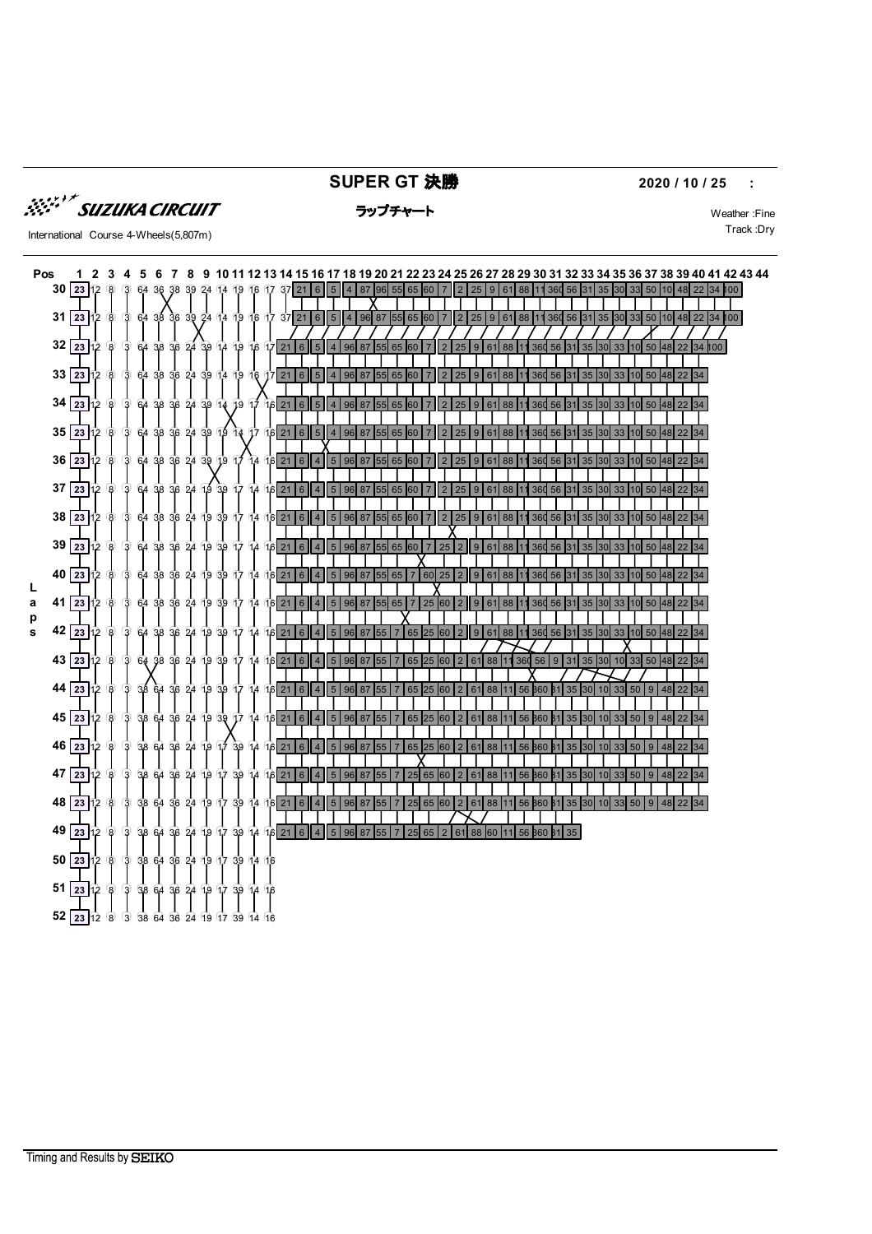

## **SUPER GT 決勝 2020 / 10 / 25 :**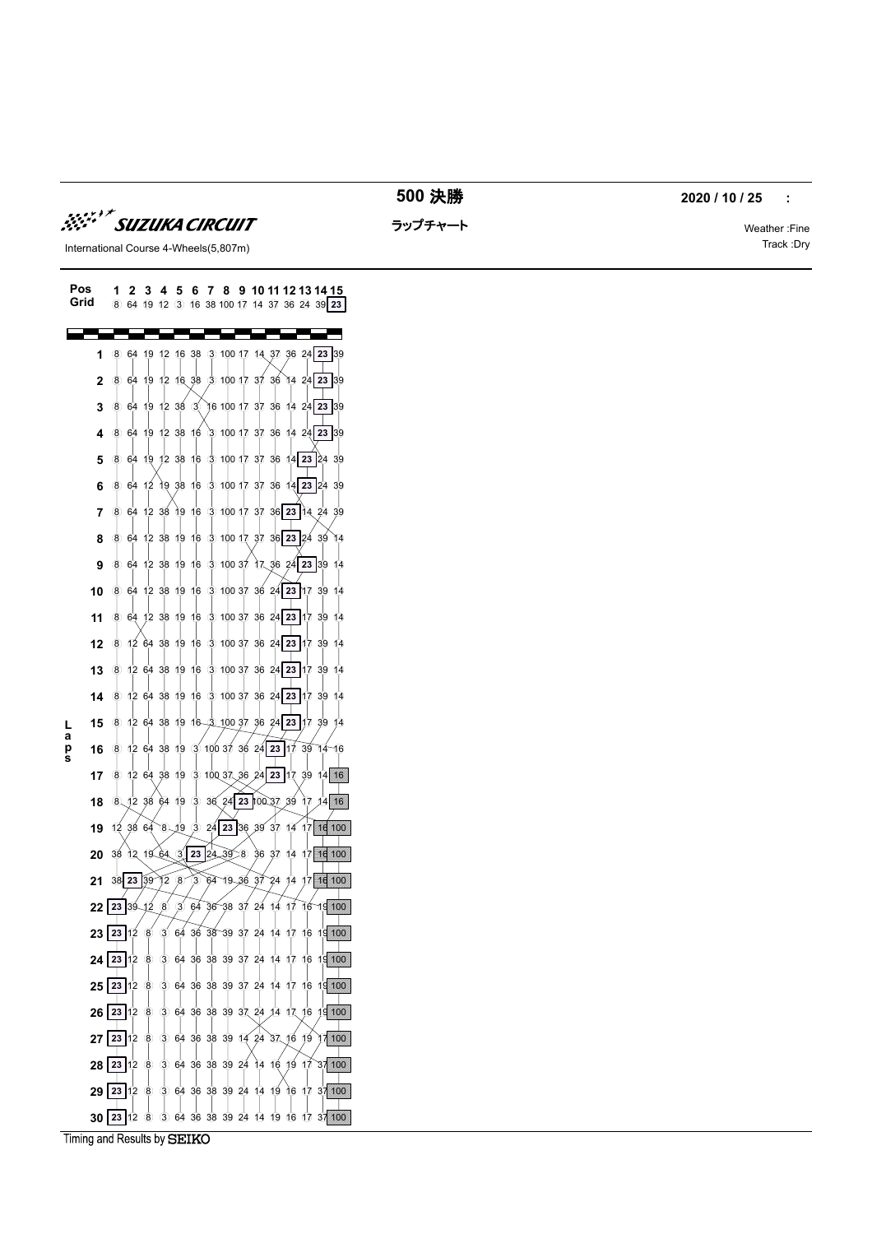tura Circuit t

ラップチャート Weather :Fine



International Course 4-Wheels(5,807m) Track :Dry

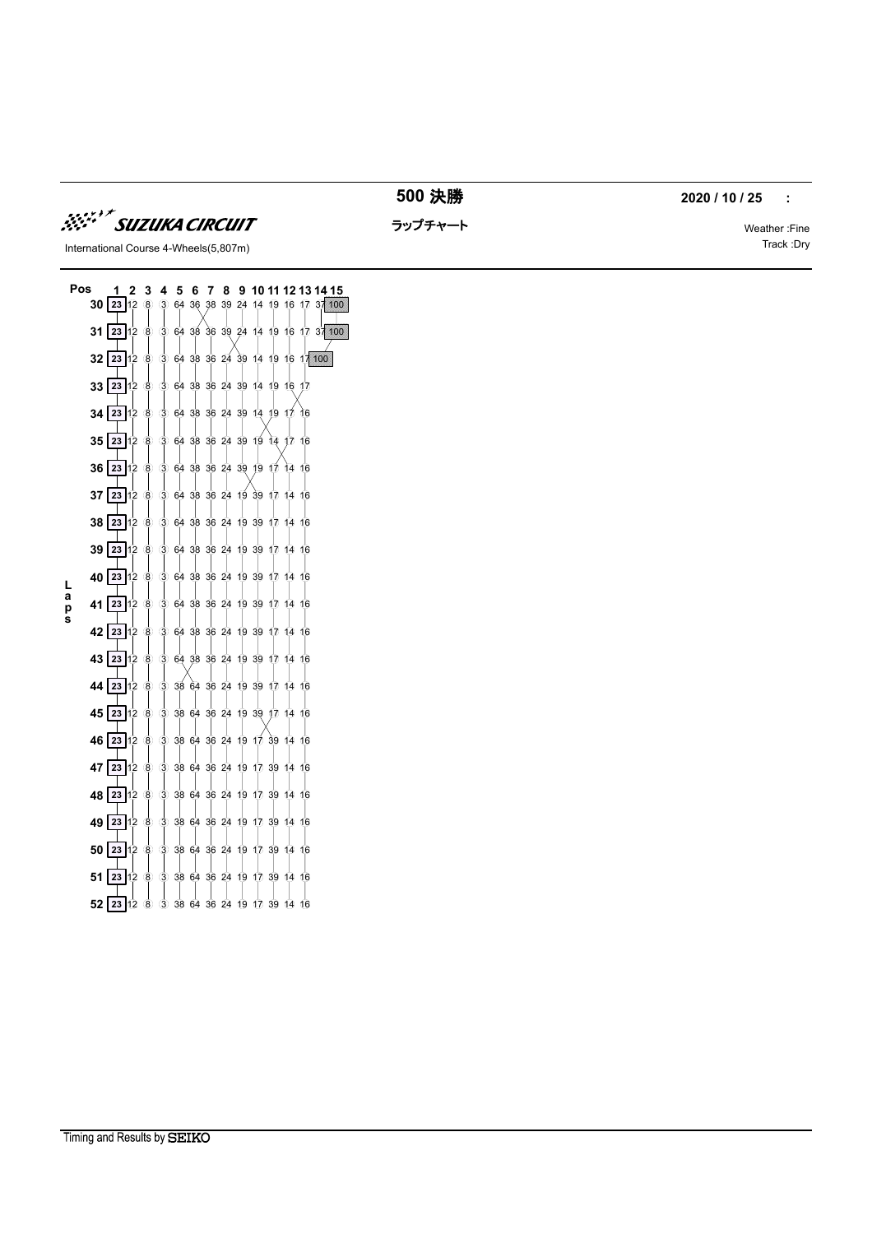

決勝 **2020 / 10 / 25 :** 

ラップチャート Weather :Fine

International Course 4-Wheels(5,807m) Track :Dry

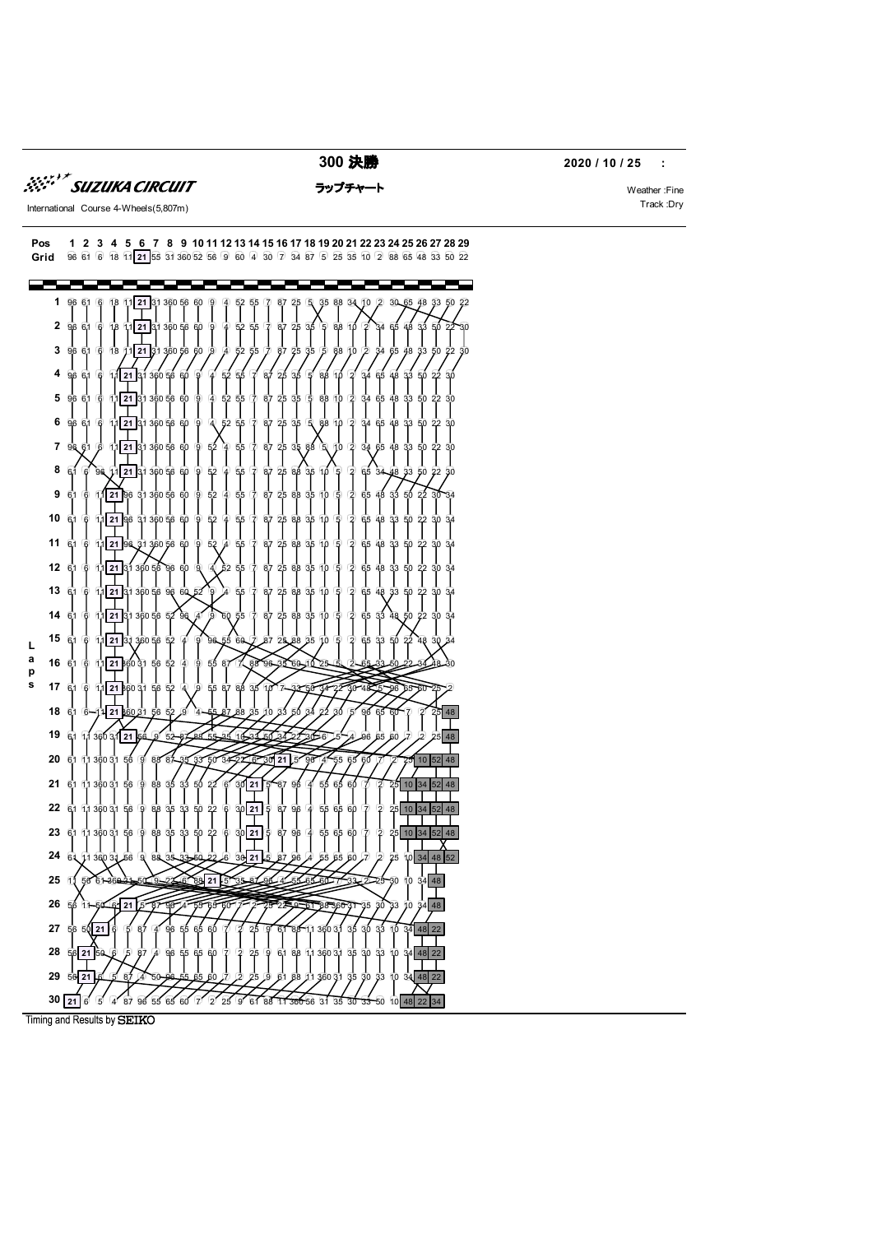

*SSET SUZUKA CIRCUIT* 

**300 決勝 2020 / 10 / 25 :** 

Timing and Results by SEIKO